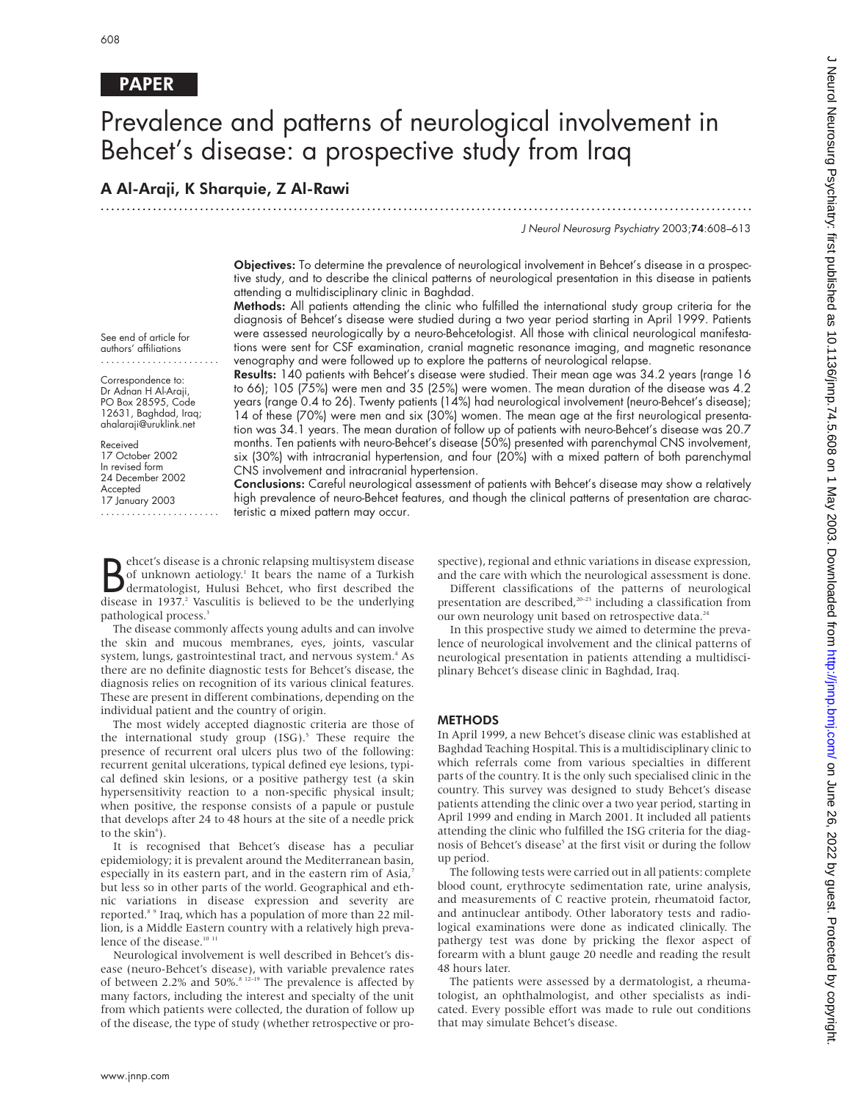# PAPER

# Prevalence and patterns of neurological involvement in Behcet's disease: a prospective study from Iraq

.............................................................................................................................

# A Al-Araji, K Sharquie, Z Al-Rawi

J Neurol Neurosurg Psychiatry 2003;74:608–613

Objectives: To determine the prevalence of neurological involvement in Behcet's disease in a prospective study, and to describe the clinical patterns of neurological presentation in this disease in patients attending a multidisciplinary clinic in Baghdad.

Methods: All patients attending the clinic who fulfilled the international study group criteria for the diagnosis of Behcet's disease were studied during a two year period starting in April 1999. Patients were assessed neurologically by a neuro-Behcetologist. All those with clinical neurological manifestations were sent for CSF examination, cranial magnetic resonance imaging, and magnetic resonance venography and were followed up to explore the patterns of neurological relapse.

See end of article for authors' affiliations .......................

Correspondence to: Dr Adnan H Al-Araji, PO Box 28595, Code 12631, Baghdad, Iraq; ahalaraji@uruklink.net

Received 17 October 2002 In revised form 24 December 2002 Accepted 17 January 2003 .......................

Results: 140 patients with Behcet's disease were studied. Their mean age was 34.2 years (range 16 to 66); 105 (75%) were men and 35 (25%) were women. The mean duration of the disease was 4.2 years (range 0.4 to 26). Twenty patients (14%) had neurological involvement (neuro-Behcet's disease); 14 of these (70%) were men and six (30%) women. The mean age at the first neurological presentation was 34.1 years. The mean duration of follow up of patients with neuro-Behcet's disease was 20.7 months. Ten patients with neuro-Behcet's disease (50%) presented with parenchymal CNS involvement, six (30%) with intracranial hypertension, and four (20%) with a mixed pattern of both parenchymal CNS involvement and intracranial hypertension.

Conclusions: Careful neurological assessment of patients with Behcet's disease may show a relatively high prevalence of neuro-Behcet features, and though the clinical patterns of presentation are characteristic a mixed pattern may occur.

Behcet's disease is a chronic relapsing multisystem disease<br>of unknown aetiology.<sup>1</sup> It bears the name of a Turkish<br>disease in 1937<sup>2</sup> Vasculitis is believed to be the underlying ehcet's disease is a chronic relapsing multisystem disease of unknown aetiology.<sup>1</sup> It bears the name of a Turkish disease in 1937.<sup>2</sup> Vasculitis is believed to be the underlying pathological process.<sup>3</sup>

The disease commonly affects young adults and can involve the skin and mucous membranes, eyes, joints, vascular system, lungs, gastrointestinal tract, and nervous system.<sup>4</sup> As there are no definite diagnostic tests for Behcet's disease, the diagnosis relies on recognition of its various clinical features. These are present in different combinations, depending on the individual patient and the country of origin.

The most widely accepted diagnostic criteria are those of the international study group  $(ISG)$ .<sup>5</sup> These require the presence of recurrent oral ulcers plus two of the following: recurrent genital ulcerations, typical defined eye lesions, typical defined skin lesions, or a positive pathergy test (a skin hypersensitivity reaction to a non-specific physical insult; when positive, the response consists of a papule or pustule that develops after 24 to 48 hours at the site of a needle prick to the skin<sup>6</sup>).

It is recognised that Behcet's disease has a peculiar epidemiology; it is prevalent around the Mediterranean basin, especially in its eastern part, and in the eastern rim of Asia,<sup>7</sup> but less so in other parts of the world. Geographical and ethnic variations in disease expression and severity are reported.8 9 Iraq, which has a population of more than 22 million, is a Middle Eastern country with a relatively high prevalence of the disease.<sup>10</sup>

Neurological involvement is well described in Behcet's disease (neuro-Behcet's disease), with variable prevalence rates of between 2.2% and 50%.<sup>8</sup> <sup>12-19</sup> The prevalence is affected by many factors, including the interest and specialty of the unit from which patients were collected, the duration of follow up of the disease, the type of study (whether retrospective or prospective), regional and ethnic variations in disease expression, and the care with which the neurological assessment is done.

Different classifications of the patterns of neurological presentation are described,<sup>20-23</sup> including a classification from our own neurology unit based on retrospective data.<sup>24</sup>

In this prospective study we aimed to determine the prevalence of neurological involvement and the clinical patterns of neurological presentation in patients attending a multidisciplinary Behcet's disease clinic in Baghdad, Iraq.

## **METHODS**

In April 1999, a new Behcet's disease clinic was established at Baghdad Teaching Hospital. This is a multidisciplinary clinic to which referrals come from various specialties in different parts of the country. It is the only such specialised clinic in the country. This survey was designed to study Behcet's disease patients attending the clinic over a two year period, starting in April 1999 and ending in March 2001. It included all patients attending the clinic who fulfilled the ISG criteria for the diagnosis of Behcet's disease<sup>5</sup> at the first visit or during the follow up period.

The following tests were carried out in all patients: complete blood count, erythrocyte sedimentation rate, urine analysis, and measurements of C reactive protein, rheumatoid factor, and antinuclear antibody. Other laboratory tests and radiological examinations were done as indicated clinically. The pathergy test was done by pricking the flexor aspect of forearm with a blunt gauge 20 needle and reading the result 48 hours later.

The patients were assessed by a dermatologist, a rheumatologist, an ophthalmologist, and other specialists as indicated. Every possible effort was made to rule out conditions that may simulate Behcet's disease.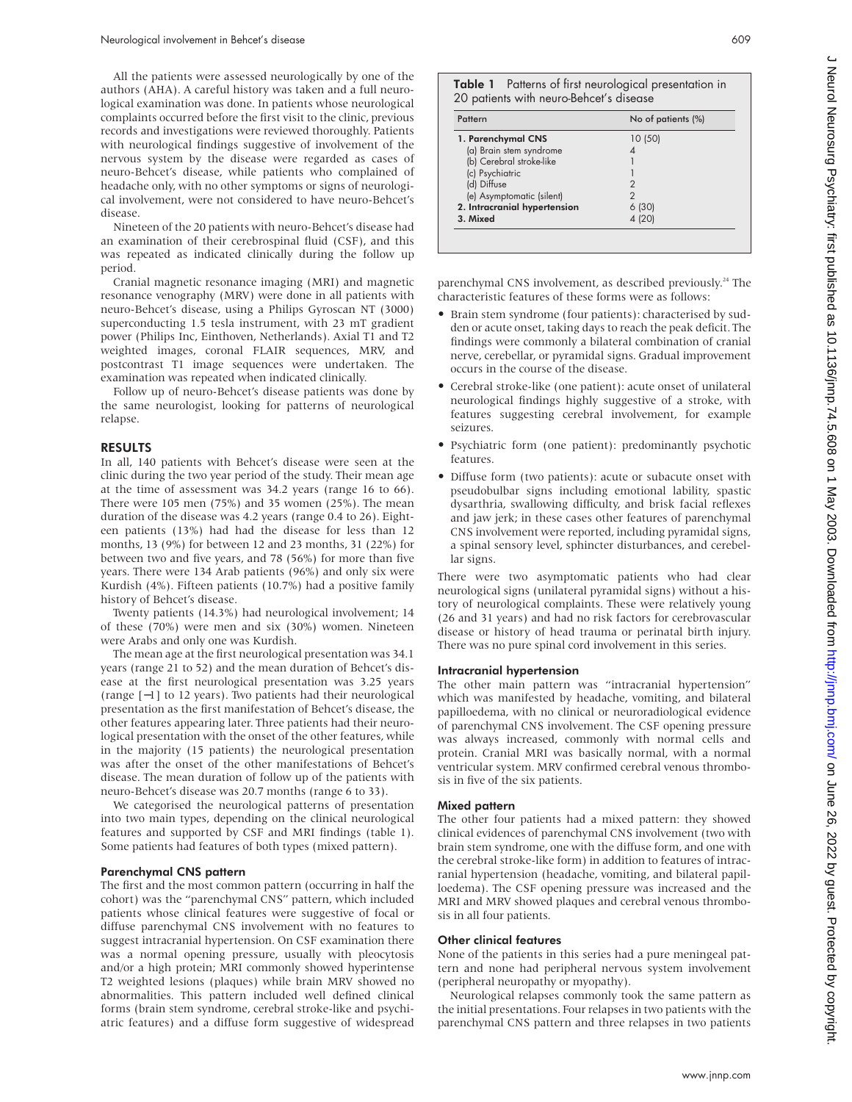All the patients were assessed neurologically by one of the authors (AHA). A careful history was taken and a full neurological examination was done. In patients whose neurological complaints occurred before the first visit to the clinic, previous records and investigations were reviewed thoroughly. Patients with neurological findings suggestive of involvement of the nervous system by the disease were regarded as cases of neuro-Behcet's disease, while patients who complained of headache only, with no other symptoms or signs of neurological involvement, were not considered to have neuro-Behcet's disease.

Nineteen of the 20 patients with neuro-Behcet's disease had an examination of their cerebrospinal fluid (CSF), and this was repeated as indicated clinically during the follow up period.

Cranial magnetic resonance imaging (MRI) and magnetic resonance venography (MRV) were done in all patients with neuro-Behcet's disease, using a Philips Gyroscan NT (3000) superconducting 1.5 tesla instrument, with 23 mT gradient power (Philips Inc, Einthoven, Netherlands). Axial T1 and T2 weighted images, coronal FLAIR sequences, MRV, and postcontrast T1 image sequences were undertaken. The examination was repeated when indicated clinically.

Follow up of neuro-Behcet's disease patients was done by the same neurologist, looking for patterns of neurological relapse.

## RESULTS

In all, 140 patients with Behcet's disease were seen at the clinic during the two year period of the study. Their mean age at the time of assessment was 34.2 years (range 16 to 66). There were 105 men (75%) and 35 women (25%). The mean duration of the disease was 4.2 years (range 0.4 to 26). Eighteen patients (13%) had had the disease for less than 12 months, 13 (9%) for between 12 and 23 months, 31 (22%) for between two and five years, and 78 (56%) for more than five years. There were 134 Arab patients (96%) and only six were Kurdish (4%). Fifteen patients (10.7%) had a positive family history of Behcet's disease.

Twenty patients (14.3%) had neurological involvement; 14 of these (70%) were men and six (30%) women. Nineteen were Arabs and only one was Kurdish.

The mean age at the first neurological presentation was 34.1 years (range 21 to 52) and the mean duration of Behcet's disease at the first neurological presentation was 3.25 years (range [−1] to 12 years). Two patients had their neurological presentation as the first manifestation of Behcet's disease, the other features appearing later. Three patients had their neurological presentation with the onset of the other features, while in the majority (15 patients) the neurological presentation was after the onset of the other manifestations of Behcet's disease. The mean duration of follow up of the patients with neuro-Behcet's disease was 20.7 months (range 6 to 33).

We categorised the neurological patterns of presentation into two main types, depending on the clinical neurological features and supported by CSF and MRI findings (table 1). Some patients had features of both types (mixed pattern).

#### Parenchymal CNS pattern

The first and the most common pattern (occurring in half the cohort) was the "parenchymal CNS" pattern, which included patients whose clinical features were suggestive of focal or diffuse parenchymal CNS involvement with no features to suggest intracranial hypertension. On CSF examination there was a normal opening pressure, usually with pleocytosis and/or a high protein; MRI commonly showed hyperintense T2 weighted lesions (plaques) while brain MRV showed no abnormalities. This pattern included well defined clinical forms (brain stem syndrome, cerebral stroke-like and psychiatric features) and a diffuse form suggestive of widespread

| Table 1 Patterns of first neurological presentation in |
|--------------------------------------------------------|
| 20 patients with neuro-Behcet's disease                |

| Pattern                      | No of patients (%) |
|------------------------------|--------------------|
| 1. Parenchymal CNS           | 10(50)             |
| (a) Brain stem syndrome      |                    |
| (b) Cerebral stroke-like     |                    |
| (c) Psychiatric              |                    |
| (d) Diffuse                  |                    |
| (e) Asymptomatic (silent)    |                    |
| 2. Intracranial hypertension | 6 (30)             |
| 3. Mixed                     | 4 (20)             |

parenchymal CNS involvement, as described previously.<sup>24</sup> The characteristic features of these forms were as follows:

- Brain stem syndrome (four patients): characterised by sudden or acute onset, taking days to reach the peak deficit. The findings were commonly a bilateral combination of cranial nerve, cerebellar, or pyramidal signs. Gradual improvement occurs in the course of the disease.
- Cerebral stroke-like (one patient): acute onset of unilateral neurological findings highly suggestive of a stroke, with features suggesting cerebral involvement, for example seizures.
- Psychiatric form (one patient): predominantly psychotic features.
- Diffuse form (two patients): acute or subacute onset with pseudobulbar signs including emotional lability, spastic dysarthria, swallowing difficulty, and brisk facial reflexes and jaw jerk; in these cases other features of parenchymal CNS involvement were reported, including pyramidal signs, a spinal sensory level, sphincter disturbances, and cerebellar signs.

There were two asymptomatic patients who had clear neurological signs (unilateral pyramidal signs) without a history of neurological complaints. These were relatively young (26 and 31 years) and had no risk factors for cerebrovascular disease or history of head trauma or perinatal birth injury. There was no pure spinal cord involvement in this series.

#### Intracranial hypertension

The other main pattern was "intracranial hypertension" which was manifested by headache, vomiting, and bilateral papilloedema, with no clinical or neuroradiological evidence of parenchymal CNS involvement. The CSF opening pressure was always increased, commonly with normal cells and protein. Cranial MRI was basically normal, with a normal ventricular system. MRV confirmed cerebral venous thrombosis in five of the six patients.

#### Mixed pattern

The other four patients had a mixed pattern: they showed clinical evidences of parenchymal CNS involvement (two with brain stem syndrome, one with the diffuse form, and one with the cerebral stroke-like form) in addition to features of intracranial hypertension (headache, vomiting, and bilateral papilloedema). The CSF opening pressure was increased and the MRI and MRV showed plaques and cerebral venous thrombosis in all four patients.

#### Other clinical features

None of the patients in this series had a pure meningeal pattern and none had peripheral nervous system involvement (peripheral neuropathy or myopathy).

Neurological relapses commonly took the same pattern as the initial presentations. Four relapses in two patients with the parenchymal CNS pattern and three relapses in two patients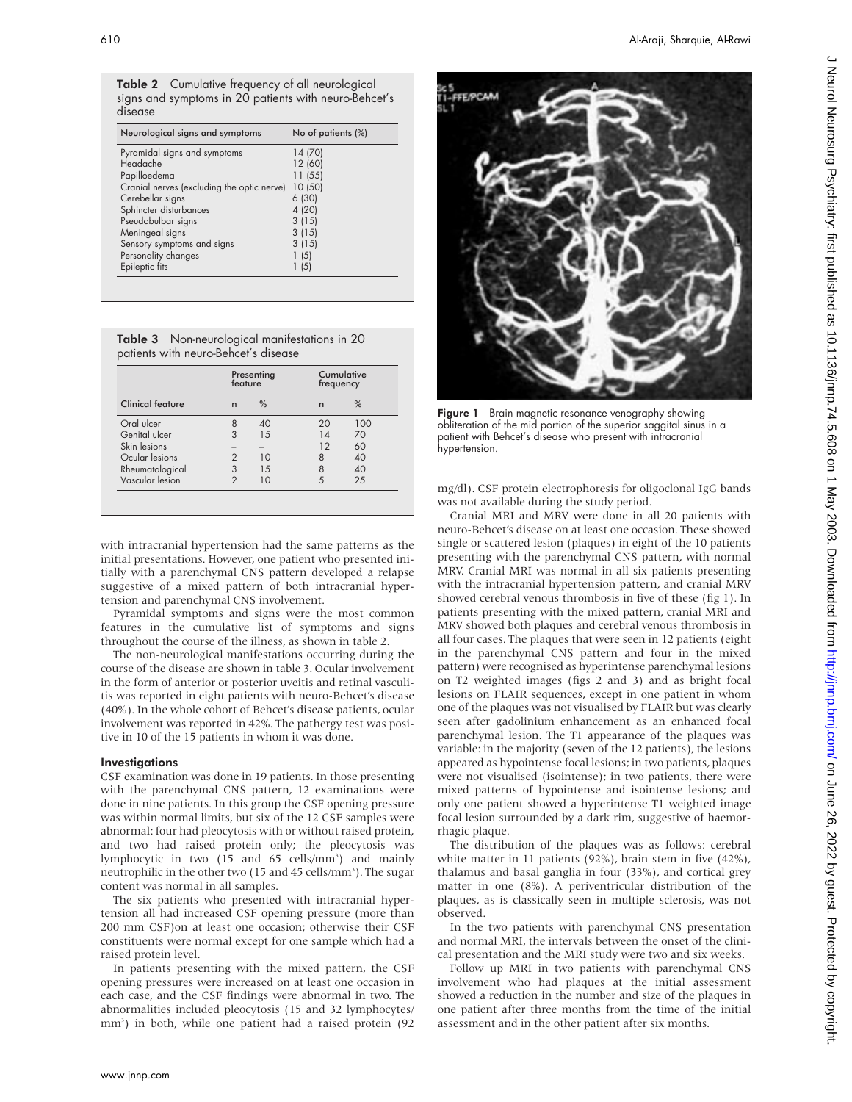|         | <b>Table 2</b> Cumulative frequency of all neurological |
|---------|---------------------------------------------------------|
|         | signs and symptoms in 20 patients with neuro-Behcet's   |
| disease |                                                         |

| Neurological signs and symptoms            | No of patients (%) |
|--------------------------------------------|--------------------|
| Pyramidal signs and symptoms               | 14 (70)            |
| Headache                                   | 12 (60)            |
| Papilloedema                               | 11(55)             |
| Cranial nerves (excluding the optic nerve) | 10 (50)            |
| Cerebellar signs                           | 6(30)              |
| Sphincter disturbances                     | 4 (20)             |
| Pseudobulbar signs                         | 3(15)              |
| Meningeal signs                            | 3(15)              |
| Sensory symptoms and signs                 | 3(15)              |
| Personality changes                        | 1(5)               |
| Epileptic fits                             | 1(5)               |
|                                            |                    |

| <b>Table 3</b> Non-neurological manifestations in 20 |  |
|------------------------------------------------------|--|
| patients with neuro-Behcet's disease                 |  |

|                         |               | Presenting<br>feature |    | Cumulative<br>frequency |  |
|-------------------------|---------------|-----------------------|----|-------------------------|--|
| <b>Clinical feature</b> | n             | $\frac{0}{0}$         | n  | %                       |  |
| Oral ulcer              | 8             | 40                    | 20 | 100                     |  |
| Genital ulcer           | 3             | 15                    | 14 | 70                      |  |
| Skin lesions            |               |                       | 12 | 60                      |  |
| Ocular lesions          |               | 10                    | 8  | 40                      |  |
| Rheumatological         | 3             | 1.5                   | 8  | 40                      |  |
| Vascular lesion         | $\mathcal{P}$ | 10                    |    | 25                      |  |

with intracranial hypertension had the same patterns as the initial presentations. However, one patient who presented initially with a parenchymal CNS pattern developed a relapse suggestive of a mixed pattern of both intracranial hypertension and parenchymal CNS involvement.

Pyramidal symptoms and signs were the most common features in the cumulative list of symptoms and signs throughout the course of the illness, as shown in table 2.

The non-neurological manifestations occurring during the course of the disease are shown in table 3. Ocular involvement in the form of anterior or posterior uveitis and retinal vasculitis was reported in eight patients with neuro-Behcet's disease (40%). In the whole cohort of Behcet's disease patients, ocular involvement was reported in 42%. The pathergy test was positive in 10 of the 15 patients in whom it was done.

#### **Investigations**

CSF examination was done in 19 patients. In those presenting with the parenchymal CNS pattern, 12 examinations were done in nine patients. In this group the CSF opening pressure was within normal limits, but six of the 12 CSF samples were abnormal: four had pleocytosis with or without raised protein, and two had raised protein only; the pleocytosis was lymphocytic in two (15 and 65 cells/mm<sup>3</sup>) and mainly neutrophilic in the other two (15 and 45 cells/mm<sup>3</sup>). The sugar content was normal in all samples.

The six patients who presented with intracranial hypertension all had increased CSF opening pressure (more than 200 mm CSF)on at least one occasion; otherwise their CSF constituents were normal except for one sample which had a raised protein level.

In patients presenting with the mixed pattern, the CSF opening pressures were increased on at least one occasion in each case, and the CSF findings were abnormal in two. The abnormalities included pleocytosis (15 and 32 lymphocytes/ mm3 ) in both, while one patient had a raised protein (92



Figure 1 Brain magnetic resonance venography showing obliteration of the mid portion of the superior saggital sinus in a patient with Behcet's disease who present with intracranial hypertension.

mg/dl). CSF protein electrophoresis for oligoclonal IgG bands was not available during the study period.

Cranial MRI and MRV were done in all 20 patients with neuro-Behcet's disease on at least one occasion. These showed single or scattered lesion (plaques) in eight of the 10 patients presenting with the parenchymal CNS pattern, with normal MRV. Cranial MRI was normal in all six patients presenting with the intracranial hypertension pattern, and cranial MRV showed cerebral venous thrombosis in five of these (fig 1). In patients presenting with the mixed pattern, cranial MRI and MRV showed both plaques and cerebral venous thrombosis in all four cases. The plaques that were seen in 12 patients (eight in the parenchymal CNS pattern and four in the mixed pattern) were recognised as hyperintense parenchymal lesions on T2 weighted images (figs 2 and 3) and as bright focal lesions on FLAIR sequences, except in one patient in whom one of the plaques was not visualised by FLAIR but was clearly seen after gadolinium enhancement as an enhanced focal parenchymal lesion. The T1 appearance of the plaques was variable: in the majority (seven of the 12 patients), the lesions appeared as hypointense focal lesions; in two patients, plaques were not visualised (isointense); in two patients, there were mixed patterns of hypointense and isointense lesions; and only one patient showed a hyperintense T1 weighted image focal lesion surrounded by a dark rim, suggestive of haemorrhagic plaque.

The distribution of the plaques was as follows: cerebral white matter in 11 patients (92%), brain stem in five (42%), thalamus and basal ganglia in four (33%), and cortical grey matter in one (8%). A periventricular distribution of the plaques, as is classically seen in multiple sclerosis, was not observed.

In the two patients with parenchymal CNS presentation and normal MRI, the intervals between the onset of the clinical presentation and the MRI study were two and six weeks.

Follow up MRI in two patients with parenchymal CNS involvement who had plaques at the initial assessment showed a reduction in the number and size of the plaques in one patient after three months from the time of the initial assessment and in the other patient after six months.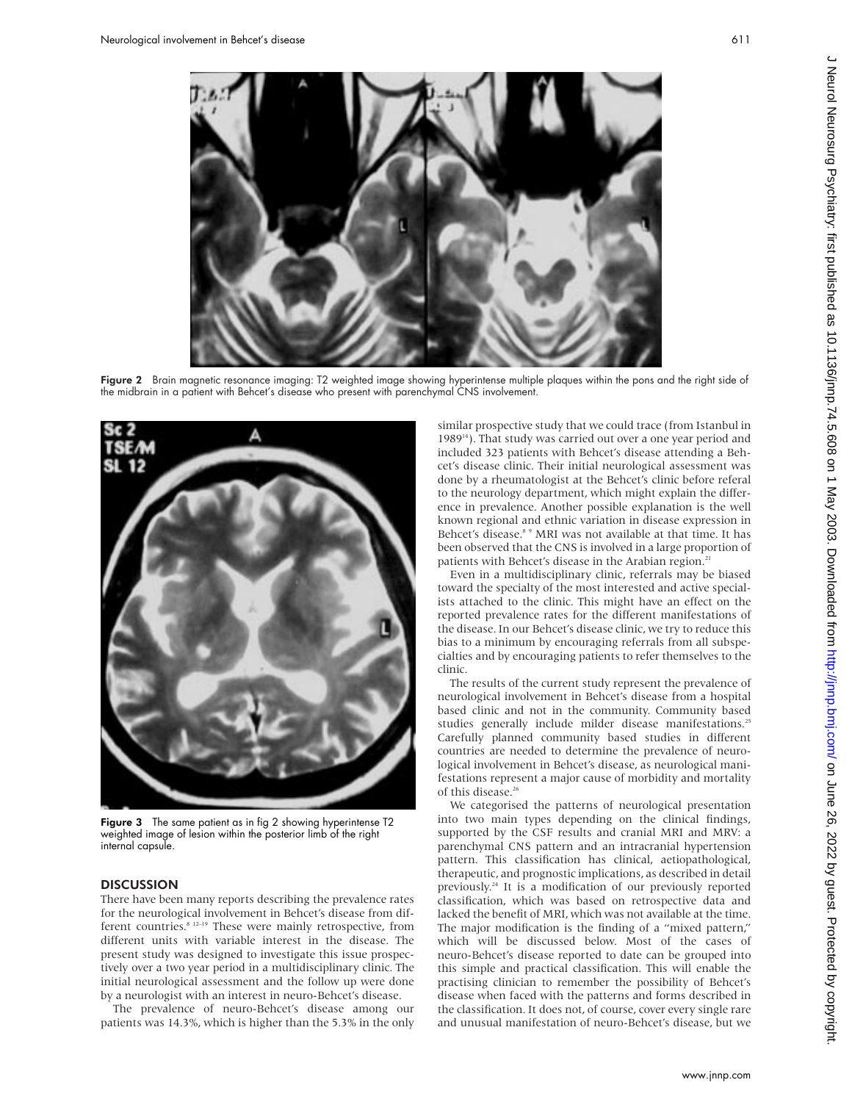

toward the specialty of the most interested and active specialists attached to the clinic. This might have an effect on the reported prevalence rates for the different manifestations of the disease. In our Behcet's disease clinic, we try to reduce this bias to a minimum by encouraging referrals from all subspecialties and by encouraging patients to refer themselves to the clinic. The results of the current study represent the prevalence of

neurological involvement in Behcet's disease from a hospital based clinic and not in the community. Community based studies generally include milder disease manifestations.<sup>25</sup> Carefully planned community based studies in different countries are needed to determine the prevalence of neurological involvement in Behcet's disease, as neurological manifestations represent a major cause of morbidity and mortality of this disease.<sup>26</sup>

We categorised the patterns of neurological presentation into two main types depending on the clinical findings, supported by the CSF results and cranial MRI and MRV: a parenchymal CNS pattern and an intracranial hypertension pattern. This classification has clinical, aetiopathological, therapeutic, and prognostic implications, as described in detail previously.24 It is a modification of our previously reported classification, which was based on retrospective data and lacked the benefit of MRI, which was not available at the time. The major modification is the finding of a "mixed pattern," which will be discussed below. Most of the cases of neuro-Behcet's disease reported to date can be grouped into this simple and practical classification. This will enable the practising clinician to remember the possibility of Behcet's disease when faced with the patterns and forms described in the classification. It does not, of course, cover every single rare and unusual manifestation of neuro-Behcet's disease, but we

Figure 2 Brain magnetic resonance imaging: T2 weighted image showing hyperintense multiple plaques within the pons and the right side of the midbrain in a patient with Behcet's disease who present with parenchymal CNS involvement.



Figure 3 The same patient as in fig 2 showing hyperintense T2 weighted image of lesion within the posterior limb of the right internal capsule.

## **DISCUSSION**

There have been many reports describing the prevalence rates for the neurological involvement in Behcet's disease from different countries.<sup>8 12–19</sup> These were mainly retrospective, from different units with variable interest in the disease. The present study was designed to investigate this issue prospectively over a two year period in a multidisciplinary clinic. The initial neurological assessment and the follow up were done by a neurologist with an interest in neuro-Behcet's disease.

The prevalence of neuro-Behcet's disease among our patients was 14.3%, which is higher than the 5.3% in the only

www.jnnp.com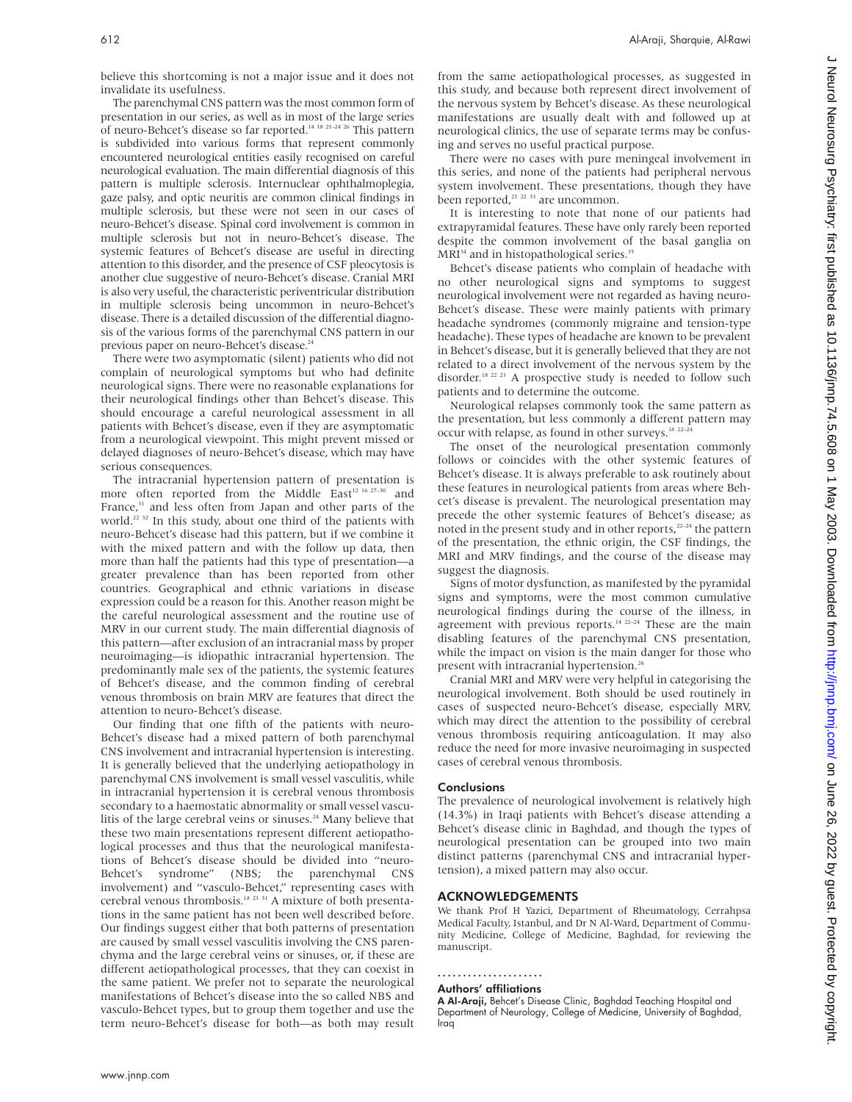believe this shortcoming is not a major issue and it does not invalidate its usefulness.

The parenchymal CNS pattern was the most common form of presentation in our series, as well as in most of the large series of neuro-Behcet's disease so far reported.14 18 21–24 26 This pattern is subdivided into various forms that represent commonly encountered neurological entities easily recognised on careful neurological evaluation. The main differential diagnosis of this pattern is multiple sclerosis. Internuclear ophthalmoplegia, gaze palsy, and optic neuritis are common clinical findings in multiple sclerosis, but these were not seen in our cases of neuro-Behcet's disease. Spinal cord involvement is common in multiple sclerosis but not in neuro-Behcet's disease. The systemic features of Behcet's disease are useful in directing attention to this disorder, and the presence of CSF pleocytosis is another clue suggestive of neuro-Behcet's disease. Cranial MRI is also very useful, the characteristic periventricular distribution in multiple sclerosis being uncommon in neuro-Behcet's disease. There is a detailed discussion of the differential diagnosis of the various forms of the parenchymal CNS pattern in our previous paper on neuro-Behcet's disease.<sup>24</sup>

There were two asymptomatic (silent) patients who did not complain of neurological symptoms but who had definite neurological signs. There were no reasonable explanations for their neurological findings other than Behcet's disease. This should encourage a careful neurological assessment in all patients with Behcet's disease, even if they are asymptomatic from a neurological viewpoint. This might prevent missed or delayed diagnoses of neuro-Behcet's disease, which may have serious consequences.

The intracranial hypertension pattern of presentation is more often reported from the Middle  $\text{East}^{12\ 16\ 27-30}$  and France,<sup>31</sup> and less often from Japan and other parts of the world.<sup>22 32</sup> In this study, about one third of the patients with neuro-Behcet's disease had this pattern, but if we combine it with the mixed pattern and with the follow up data, then more than half the patients had this type of presentation—a greater prevalence than has been reported from other countries. Geographical and ethnic variations in disease expression could be a reason for this. Another reason might be the careful neurological assessment and the routine use of MRV in our current study. The main differential diagnosis of this pattern—after exclusion of an intracranial mass by proper neuroimaging—is idiopathic intracranial hypertension. The predominantly male sex of the patients, the systemic features of Behcet's disease, and the common finding of cerebral venous thrombosis on brain MRV are features that direct the attention to neuro-Behcet's disease.

Our finding that one fifth of the patients with neuro-Behcet's disease had a mixed pattern of both parenchymal CNS involvement and intracranial hypertension is interesting. It is generally believed that the underlying aetiopathology in parenchymal CNS involvement is small vessel vasculitis, while in intracranial hypertension it is cerebral venous thrombosis secondary to a haemostatic abnormality or small vessel vasculitis of the large cerebral veins or sinuses.<sup>24</sup> Many believe that these two main presentations represent different aetiopathological processes and thus that the neurological manifestations of Behcet's disease should be divided into "neuro-Behcet's syndrome" (NBS; the parenchymal CNS involvement) and "vasculo-Behcet," representing cases with cerebral venous thrombosis.18 23 31 A mixture of both presentations in the same patient has not been well described before. Our findings suggest either that both patterns of presentation are caused by small vessel vasculitis involving the CNS parenchyma and the large cerebral veins or sinuses, or, if these are different aetiopathological processes, that they can coexist in the same patient. We prefer not to separate the neurological manifestations of Behcet's disease into the so called NBS and vasculo-Behcet types, but to group them together and use the term neuro-Behcet's disease for both—as both may result from the same aetiopathological processes, as suggested in this study, and because both represent direct involvement of the nervous system by Behcet's disease. As these neurological manifestations are usually dealt with and followed up at neurological clinics, the use of separate terms may be confusing and serves no useful practical purpose.

There were no cases with pure meningeal involvement in this series, and none of the patients had peripheral nervous system involvement. These presentations, though they have been reported,<sup>21 22 33</sup> are uncommon.

It is interesting to note that none of our patients had extrapyramidal features. These have only rarely been reported despite the common involvement of the basal ganglia on MRI<sup>34</sup> and in histopathological series.<sup>35</sup>

Behcet's disease patients who complain of headache with no other neurological signs and symptoms to suggest neurological involvement were not regarded as having neuro-Behcet's disease. These were mainly patients with primary headache syndromes (commonly migraine and tension-type headache). These types of headache are known to be prevalent in Behcet's disease, but it is generally believed that they are not related to a direct involvement of the nervous system by the disorder.<sup>18 22 23</sup> A prospective study is needed to follow such patients and to determine the outcome.

Neurological relapses commonly took the same pattern as the presentation, but less commonly a different pattern may occur with relapse, as found in other surveys.<sup>18 22-24</sup>

The onset of the neurological presentation commonly follows or coincides with the other systemic features of Behcet's disease. It is always preferable to ask routinely about these features in neurological patients from areas where Behcet's disease is prevalent. The neurological presentation may precede the other systemic features of Behcet's disease; as noted in the present study and in other reports,<sup>22-24</sup> the pattern of the presentation, the ethnic origin, the CSF findings, the MRI and MRV findings, and the course of the disease may suggest the diagnosis.

Signs of motor dysfunction, as manifested by the pyramidal signs and symptoms, were the most common cumulative neurological findings during the course of the illness, in agreement with previous reports.<sup>14 22-24</sup> These are the main disabling features of the parenchymal CNS presentation, while the impact on vision is the main danger for those who present with intracranial hypertension.<sup>24</sup>

Cranial MRI and MRV were very helpful in categorising the neurological involvement. Both should be used routinely in cases of suspected neuro-Behcet's disease, especially MRV, which may direct the attention to the possibility of cerebral venous thrombosis requiring anticoagulation. It may also reduce the need for more invasive neuroimaging in suspected cases of cerebral venous thrombosis.

#### Conclusions

The prevalence of neurological involvement is relatively high (14.3%) in Iraqi patients with Behcet's disease attending a Behcet's disease clinic in Baghdad, and though the types of neurological presentation can be grouped into two main distinct patterns (parenchymal CNS and intracranial hypertension), a mixed pattern may also occur.

#### ACKNOWLEDGEMENTS

We thank Prof H Yazici, Department of Rheumatology, Cerrahpsa Medical Faculty, Istanbul, and Dr N Al-Ward, Department of Community Medicine, College of Medicine, Baghdad, for reviewing the manuscript.

#### .....................

## Authors' affiliations

A Al-Araji, Behcet's Disease Clinic, Baghdad Teaching Hospital and Department of Neurology, College of Medicine, University of Baghdad, Iraq